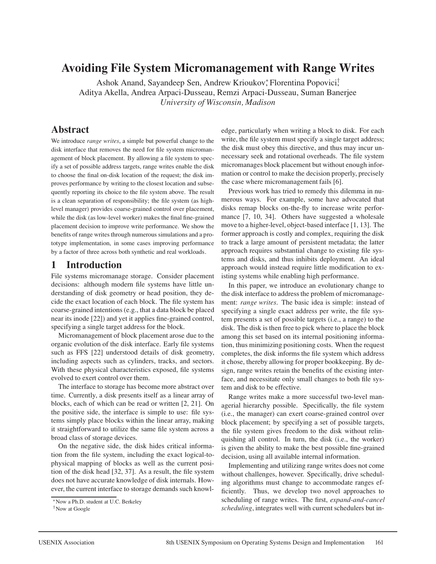# **Avoiding File System Micromanagement with Range Writes**

Ashok Anand, Sayandeep Sen, Andrew Krioukov, Florentina Popovici, Aditya Akella, Andrea Arpaci-Dusseau, Remzi Arpaci-Dusseau, Suman Banerjee *University of Wisconsin, Madison*

# **Abstract**

We introduce *range writes*, a simple but powerful change to the disk interface that removes the need for file system micromanagement of block placement. By allowing a file system to specify a set of possible address targets, range writes enable the disk to choose the final on-disk location of the request; the disk improves performance by writing to the closest location and subsequently reporting its choice to the file system above. The result is a clean separation of responsibility; the file system (as highlevel manager) provides coarse-grained control over placement, while the disk (as low-level worker) makes the final fine-grained placement decision to improve write performance. We show the benefits of range writes through numerous simulations and a prototype implementation, in some cases improving performance by a factor of three across both synthetic and real workloads.

# **1 Introduction**

File systems micromanage storage. Consider placement decisions: although modern file systems have little understanding of disk geometry or head position, they decide the exact location of each block. The file system has coarse-grained intentions (e.g., that a data block be placed near its inode [22]) and yet it applies fine-grained control, specifying a single target address for the block.

Micromanagement of block placement arose due to the organic evolution of the disk interface. Early file systems such as FFS [22] understood details of disk geometry, including aspects such as cylinders, tracks, and sectors. With these physical characteristics exposed, file systems evolved to exert control over them.

The interface to storage has become more abstract over time. Currently, a disk presents itself as a linear array of blocks, each of which can be read or written [2, 21]. On the positive side, the interface is simple to use: file systems simply place blocks within the linear array, making it straightforward to utilize the same file system across a broad class of storage devices.

On the negative side, the disk hides critical information from the file system, including the exact logical-tophysical mapping of blocks as well as the current position of the disk head [32, 37]. As a result, the file system does not have accurate knowledge of disk internals. However, the current interface to storage demands such knowledge, particularly when writing a block to disk. For each write, the file system must specify a single target address; the disk must obey this directive, and thus may incur unnecessary seek and rotational overheads. The file system micromanages block placement but without enough information or control to make the decision properly, precisely the case where micromanagement fails [6].

Previous work has tried to remedy this dilemma in numerous ways. For example, some have advocated that disks remap blocks on-the-fly to increase write performance [7, 10, 34]. Others have suggested a wholesale move to a higher-level, object-based interface [1, 13]. The former approach is costly and complex, requiring the disk to track a large amount of persistent metadata; the latter approach requires substantial change to existing file systems and disks, and thus inhibits deployment. An ideal approach would instead require little modification to existing systems while enabling high performance.

In this paper, we introduce an evolutionary change to the disk interface to address the problem of micromanagement: *range writes*. The basic idea is simple: instead of specifying a single exact address per write, the file system presents a set of possible targets (i.e., a range) to the disk. The disk is then free to pick where to place the block among this set based on its internal positioning information, thus minimizing positioning costs. When the request completes, the disk informs the file system which address it chose, thereby allowing for proper bookkeeping. By design, range writes retain the benefits of the existing interface, and necessitate only small changes to both file system and disk to be effective.

Range writes make a more successful two-level managerial hierarchy possible. Specifically, the file system (i.e., the manager) can exert coarse-grained control over block placement; by specifying a set of possible targets, the file system gives freedom to the disk without relinquishing all control. In turn, the disk (i.e., the worker) is given the ability to make the best possible fine-grained decision, using all available internal information.

Implementing and utilizing range writes does not come without challenges, however. Specifically, drive scheduling algorithms must change to accommodate ranges efficiently. Thus, we develop two novel approaches to scheduling of range writes. The first, *expand-and-cancel scheduling*, integrates well with current schedulers but in-

<sup>∗</sup>Now a Ph.D. student at U.C. Berkeley

<sup>†</sup>Now at Google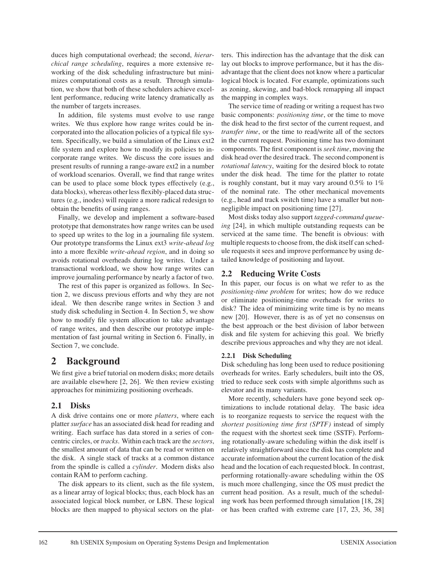duces high computational overhead; the second, *hierarchical range scheduling*, requires a more extensive reworking of the disk scheduling infrastructure but minimizes computational costs as a result. Through simulation, we show that both of these schedulers achieve excellent performance, reducing write latency dramatically as the number of targets increases.

In addition, file systems must evolve to use range writes. We thus explore how range writes could be incorporated into the allocation policies of a typical file system. Specifically, we build a simulation of the Linux ext2 file system and explore how to modify its policies to incorporate range writes. We discuss the core issues and present results of running a range-aware ext2 in a number of workload scenarios. Overall, we find that range writes can be used to place some block types effectively (e.g., data blocks), whereas other less flexibly-placed data structures (e.g., inodes) will require a more radical redesign to obtain the benefits of using ranges.

Finally, we develop and implement a software-based prototype that demonstrates how range writes can be used to speed up writes to the log in a journaling file system. Our prototype transforms the Linux ext3 *write-ahead log* into a more flexible *write-ahead region*, and in doing so avoids rotational overheads during log writes. Under a transactional workload, we show how range writes can improve journaling performance by nearly a factor of two.

The rest of this paper is organized as follows. In Section 2, we discuss previous efforts and why they are not ideal. We then describe range writes in Section 3 and study disk scheduling in Section 4. In Section 5, we show how to modify file system allocation to take advantage of range writes, and then describe our prototype implementation of fast journal writing in Section 6. Finally, in Section 7, we conclude.

# **2 Background**

We first give a brief tutorial on modern disks; more details are available elsewhere [2, 26]. We then review existing approaches for minimizing positioning overheads.

# **2.1 Disks**

A disk drive contains one or more *platters*, where each platter *surface* has an associated disk head for reading and writing. Each surface has data stored in a series of concentric circles, or *tracks*. Within each track are the *sectors*, the smallest amount of data that can be read or written on the disk. A single stack of tracks at a common distance from the spindle is called a *cylinder*. Modern disks also contain RAM to perform caching.

The disk appears to its client, such as the file system, as a linear array of logical blocks; thus, each block has an associated logical block number, or LBN. These logical blocks are then mapped to physical sectors on the platters. This indirection has the advantage that the disk can lay out blocks to improve performance, but it has the disadvantage that the client does not know where a particular logical block is located. For example, optimizations such as zoning, skewing, and bad-block remapping all impact the mapping in complex ways.

The service time of reading or writing a request has two basic components: *positioning time*, or the time to move the disk head to the first sector of the current request, and *transfer time*, or the time to read/write all of the sectors in the current request. Positioning time has two dominant components. The first component is *seek time*, moving the disk head over the desired track. The second component is *rotational latency*, waiting for the desired block to rotate under the disk head. The time for the platter to rotate is roughly constant, but it may vary around 0.5% to 1% of the nominal rate. The other mechanical movements (e.g., head and track switch time) have a smaller but nonnegligible impact on positioning time [27].

Most disks today also support *tagged-command queueing* [24], in which multiple outstanding requests can be serviced at the same time. The benefit is obvious: with multiple requests to choose from, the disk itself can schedule requests it sees and improve performance by using detailed knowledge of positioning and layout.

# **2.2 Reducing Write Costs**

In this paper, our focus is on what we refer to as the *positioning-time problem* for writes; how do we reduce or eliminate positioning-time overheads for writes to disk? The idea of minimizing write time is by no means new [20]. However, there is as of yet no consensus on the best approach or the best division of labor between disk and file system for achieving this goal. We briefly describe previous approaches and why they are not ideal.

## **2.2.1 Disk Scheduling**

Disk scheduling has long been used to reduce positioning overheads for writes. Early schedulers, built into the OS, tried to reduce seek costs with simple algorithms such as elevator and its many variants.

More recently, schedulers have gone beyond seek optimizations to include rotational delay. The basic idea is to reorganize requests to service the request with the *shortest positioning time first (SPTF)* instead of simply the request with the shortest seek time (SSTF). Performing rotationally-aware scheduling within the disk itself is relatively straightforward since the disk has complete and accurate information about the current location of the disk head and the location of each requested block. In contrast, performing rotationally-aware scheduling within the OS is much more challenging, since the OS must predict the current head position. As a result, much of the scheduling work has been performed through simulation [18, 28] or has been crafted with extreme care [17, 23, 36, 38]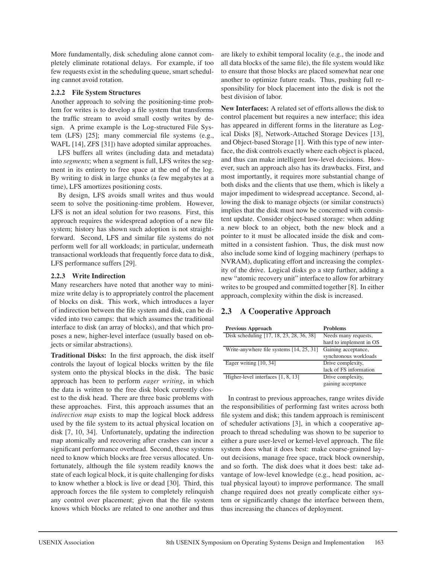More fundamentally, disk scheduling alone cannot completely eliminate rotational delays. For example, if too few requests exist in the scheduling queue, smart scheduling cannot avoid rotation.

### **2.2.2 File System Structures**

Another approach to solving the positioning-time problem for writes is to develop a file system that transforms the traffic stream to avoid small costly writes by design. A prime example is the Log-structured File System (LFS) [25]; many commercial file systems (e.g., WAFL [14], ZFS [31]) have adopted similar approaches.

LFS buffers all writes (including data and metadata) into *segments*; when a segment is full, LFS writes the segment in its entirety to free space at the end of the log. By writing to disk in large chunks (a few megabytes at a time), LFS amortizes positioning costs.

By design, LFS avoids small writes and thus would seem to solve the positioning-time problem. However, LFS is not an ideal solution for two reasons. First, this approach requires the widespread adoption of a new file system; history has shown such adoption is not straightforward. Second, LFS and similar file systems do not perform well for all workloads; in particular, underneath transactional workloads that frequently force data to disk, LFS performance suffers [29].

### **2.2.3 Write Indirection**

Many researchers have noted that another way to minimize write delay is to appropriately control the placement of blocks on disk. This work, which introduces a layer of indirection between the file system and disk, can be divided into two camps: that which assumes the traditional interface to disk (an array of blocks), and that which proposes a new, higher-level interface (usually based on objects or similar abstractions).

**Traditional Disks:** In the first approach, the disk itself controls the layout of logical blocks written by the file system onto the physical blocks in the disk. The basic approach has been to perform *eager writing*, in which the data is written to the free disk block currently closest to the disk head. There are three basic problems with these approaches. First, this approach assumes that an *indirection map* exists to map the logical block address used by the file system to its actual physical location on disk [7, 10, 34]. Unfortunately, updating the indirection map atomically and recovering after crashes can incur a significant performance overhead. Second, these systems need to know which blocks are free versus allocated. Unfortunately, although the file system readily knows the state of each logical block, it is quite challenging for disks to know whether a block is live or dead [30]. Third, this approach forces the file system to completely relinquish any control over placement; given that the file system knows which blocks are related to one another and thus

are likely to exhibit temporal locality (e.g., the inode and all data blocks of the same file), the file system would like to ensure that those blocks are placed somewhat near one another to optimize future reads. Thus, pushing full responsibility for block placement into the disk is not the best division of labor.

**New Interfaces:** A related set of efforts allows the disk to control placement but requires a new interface; this idea has appeared in different forms in the literature as Logical Disks [8], Network-Attached Storage Devices [13], and Object-based Storage [1]. With this type of new interface, the disk controls exactly where each object is placed, and thus can make intelligent low-level decisions. However, such an approach also has its drawbacks. First, and most importantly, it requires more substantial change of both disks and the clients that use them, which is likely a major impediment to widespread acceptance. Second, allowing the disk to manage objects (or similar constructs) implies that the disk must now be concerned with consistent update. Consider object-based storage: when adding a new block to an object, both the new block and a pointer to it must be allocated inside the disk and committed in a consistent fashion. Thus, the disk must now also include some kind of logging machinery (perhaps to NVRAM), duplicating effort and increasing the complexity of the drive. Logical disks go a step further, adding a new "atomic recovery unit" interface to allow for arbitrary writes to be grouped and committed together [8]. In either approach, complexity within the disk is increased.

# **2.3 A Cooperative Approach**

| <b>Previous Approach</b>                 | <b>Problems</b>         |
|------------------------------------------|-------------------------|
| Disk scheduling [17, 18, 23, 28, 36, 38] | Needs many requests,    |
|                                          | hard to implement in OS |
| Write-anywhere file systems [14, 25, 31] | Gaining acceptance,     |
|                                          | synchronous workloads   |
| Eager writing [10, 34]                   | Drive complexity,       |
|                                          | lack of FS information  |
| Higher-level interfaces [1, 8, 13]       | Drive complexity,       |
|                                          | gaining acceptance      |

In contrast to previous approaches, range writes divide the responsibilities of performing fast writes across both file system and disk; this tandem approach is reminiscent of scheduler activations [3], in which a cooperative approach to thread scheduling was shown to be superior to either a pure user-level or kernel-level approach. The file system does what it does best: make coarse-grained layout decisions, manage free space, track block ownership, and so forth. The disk does what it does best: take advantage of low-level knowledge (e.g., head position, actual physical layout) to improve performance. The small change required does not greatly complicate either system or significantly change the interface between them, thus increasing the chances of deployment.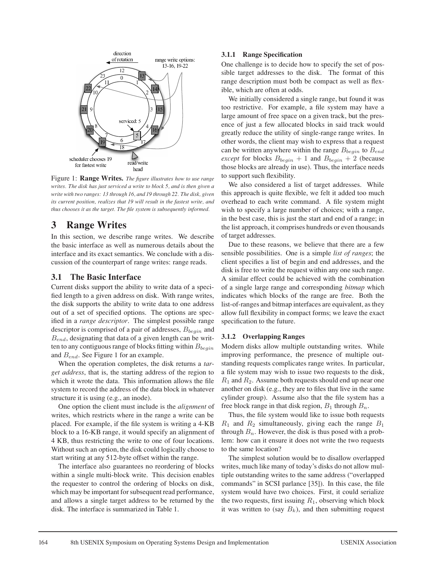

Figure 1: **Range Writes.** *The figure illustrates how to use range writes. The disk has just serviced a write to block 5, and is then given a write with two ranges: 13 through 16, and 19 through 22. The disk, given its current position, realizes that 19 will result in the fastest write, and thus chooses it as the target. The file system is subsequently informed.*

# **3 Range Writes**

In this section, we describe range writes. We describe the basic interface as well as numerous details about the interface and its exact semantics. We conclude with a discussion of the counterpart of range writes: range reads.

## **3.1 The Basic Interface**

Current disks support the ability to write data of a specified length to a given address on disk. With range writes, the disk supports the ability to write data to one address out of a set of specified options. The options are specified in a *range descriptor*. The simplest possible range descriptor is comprised of a pair of addresses,  $B_{\text{begin}}$  and  $B_{end}$ , designating that data of a given length can be written to any contiguous range of blocks fitting within  $B_{\text{beam}}$ and  $B_{end}$ . See Figure 1 for an example.

When the operation completes, the disk returns a *target address*, that is, the starting address of the region to which it wrote the data. This information allows the file system to record the address of the data block in whatever structure it is using (e.g., an inode).

One option the client must include is the *alignment* of writes, which restricts where in the range a write can be placed. For example, if the file system is writing a 4-KB block to a 16-KB range, it would specify an alignment of 4 KB, thus restricting the write to one of four locations. Without such an option, the disk could logically choose to start writing at any 512-byte offset within the range.

The interface also guarantees no reordering of blocks within a single multi-block write. This decision enables the requester to control the ordering of blocks on disk, which may be important for subsequent read performance, and allows a single target address to be returned by the disk. The interface is summarized in Table 1.

### **3.1.1 Range Specification**

One challenge is to decide how to specify the set of possible target addresses to the disk. The format of this range description must both be compact as well as flexible, which are often at odds.

We initially considered a single range, but found it was too restrictive. For example, a file system may have a large amount of free space on a given track, but the presence of just a few allocated blocks in said track would greatly reduce the utility of single-range range writes. In other words, the client may wish to express that a request can be written anywhere within the range  $B_{begin}$  to  $B_{end}$ *except* for blocks  $B_{begin} + 1$  and  $B_{begin} + 2$  (because those blocks are already in use). Thus, the interface needs to support such flexibility.

We also considered a list of target addresses. While this approach is quite flexible, we felt it added too much overhead to each write command. A file system might wish to specify a large number of choices; with a range, in the best case, this is just the start and end of a range; in the list approach, it comprises hundreds or even thousands of target addresses.

Due to these reasons, we believe that there are a few sensible possibilities. One is a simple *list of ranges*; the client specifies a list of begin and end addresses, and the disk is free to write the request within any one such range. A similar effect could be achieved with the combination of a single large range and corresponding *bitmap* which indicates which blocks of the range are free. Both the list-of-ranges and bitmap interfaces are equivalent, as they allow full flexibility in compact forms; we leave the exact specification to the future.

### **3.1.2 Overlapping Ranges**

Modern disks allow multiple outstanding writes. While improving performance, the presence of multiple outstanding requests complicates range writes. In particular, a file system may wish to issue two requests to the disk,  $R_1$  and  $R_2$ . Assume both requests should end up near one another on disk (e.g., they are to files that live in the same cylinder group). Assume also that the file system has a free block range in that disk region,  $B_1$  through  $B_n$ .

Thus, the file system would like to issue both requests  $R_1$  and  $R_2$  simultaneously, giving each the range  $B_1$ through  $B_n$ . However, the disk is thus posed with a problem: how can it ensure it does not write the two requests to the same location?

The simplest solution would be to disallow overlapped writes, much like many of today's disks do not allow multiple outstanding writes to the same address ("overlapped commands" in SCSI parlance [35]). In this case, the file system would have two choices. First, it could serialize the two requests, first issuing  $R_1$ , observing which block it was written to (say  $B_k$ ), and then submitting request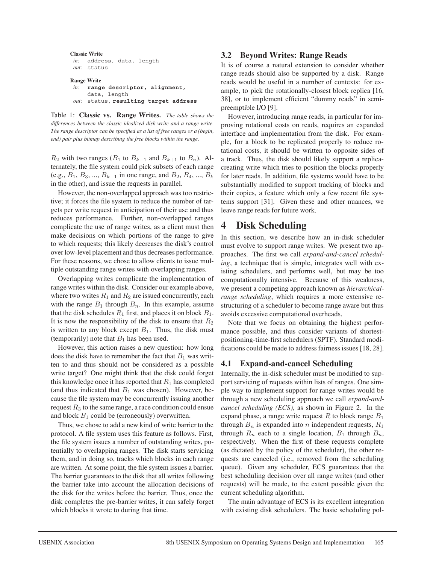```
Classic Write
in: address, data, length
 out: status
Range Write
 in: range descriptor, alignment,
     data, length
```
*out:* status, **resulting target address**

Table 1: **Classic vs. Range Writes.** *The table shows the differences between the classic idealized disk write and a range write. The range descriptor can be specified as a list of free ranges or a (begin, end) pair plus bitmap describing the free blocks within the range.*

 $R_2$  with two ranges ( $B_1$  to  $B_{k-1}$  and  $B_{k+1}$  to  $B_n$ ). Alternately, the file system could pick subsets of each range (e.g.,  $B_1, B_3, ..., B_{k-1}$  in one range, and  $B_2, B_4, ..., B_k$ in the other), and issue the requests in parallel.

However, the non-overlapped approach was too restrictive; it forces the file system to reduce the number of targets per write request in anticipation of their use and thus reduces performance. Further, non-overlapped ranges complicate the use of range writes, as a client must then make decisions on which portions of the range to give to which requests; this likely decreases the disk's control over low-level placement and thus decreases performance. For these reasons, we chose to allow clients to issue multiple outstanding range writes with overlapping ranges.

Overlapping writes complicate the implementation of range writes within the disk. Consider our example above, where two writes  $R_1$  and  $R_2$  are issued concurrently, each with the range  $B_1$  through  $B_n$ . In this example, assume that the disk schedules  $R_1$  first, and places it on block  $B_1$ . It is now the responsibility of the disk to ensure that  $R_2$ is written to any block except  $B_1$ . Thus, the disk must (temporarily) note that  $B_1$  has been used.

However, this action raises a new question: how long does the disk have to remember the fact that  $B_1$  was written to and thus should not be considered as a possible write target? One might think that the disk could forget this knowledge once it has reported that  $R_1$  has completed (and thus indicated that  $B_1$  was chosen). However, because the file system may be concurrently issuing another request  $R_3$  to the same range, a race condition could ensue and block  $B_1$  could be (erroneously) overwritten.

Thus, we chose to add a new kind of write barrier to the protocol. A file system uses this feature as follows. First, the file system issues a number of outstanding writes, potentially to overlapping ranges. The disk starts servicing them, and in doing so, tracks which blocks in each range are written. At some point, the file system issues a barrier. The barrier guarantees to the disk that all writes following the barrier take into account the allocation decisions of the disk for the writes before the barrier. Thus, once the disk completes the pre-barrier writes, it can safely forget which blocks it wrote to during that time.

## **3.2 Beyond Writes: Range Reads**

It is of course a natural extension to consider whether range reads should also be supported by a disk. Range reads would be useful in a number of contexts: for example, to pick the rotationally-closest block replica [16, 38], or to implement efficient "dummy reads" in semipreemptible I/O [9].

However, introducing range reads, in particular for improving rotational costs on reads, requires an expanded interface and implementation from the disk. For example, for a block to be replicated properly to reduce rotational costs, it should be written to opposite sides of a track. Thus, the disk should likely support a replicacreating write which tries to position the blocks properly for later reads. In addition, file systems would have to be substantially modified to support tracking of blocks and their copies, a feature which only a few recent file systems support [31]. Given these and other nuances, we leave range reads for future work.

# **4 Disk Scheduling**

In this section, we describe how an in-disk scheduler must evolve to support range writes. We present two approaches. The first we call *expand-and-cancel scheduling*, a technique that is simple, integrates well with existing schedulers, and performs well, but may be too computationally intensive. Because of this weakness, we present a competing approach known as *hierarchicalrange scheduling*, which requires a more extensive restructuring of a scheduler to become range aware but thus avoids excessive computational overheads.

Note that we focus on obtaining the highest performance possible, and thus consider variants of shortestpositioning-time-first schedulers (SPTF). Standard modifications could be made to address fairness issues [18, 28].

## **4.1 Expand-and-cancel Scheduling**

Internally, the in-disk scheduler must be modified to support servicing of requests within lists of ranges. One simple way to implement support for range writes would be through a new scheduling approach we call *expand-andcancel scheduling (ECS)*, as shown in Figure 2. In the expand phase, a range write request R to block range  $B_1$ through  $B_n$  is expanded into n independent requests,  $R_1$ through  $R_n$  each to a single location,  $B_1$  through  $B_n$ , respectively. When the first of these requests complete (as dictated by the policy of the scheduler), the other requests are canceled (i.e., removed from the scheduling queue). Given any scheduler, ECS guarantees that the best scheduling decision over all range writes (and other requests) will be made, to the extent possible given the current scheduling algorithm.

The main advantage of ECS is its excellent integration with existing disk schedulers. The basic scheduling pol-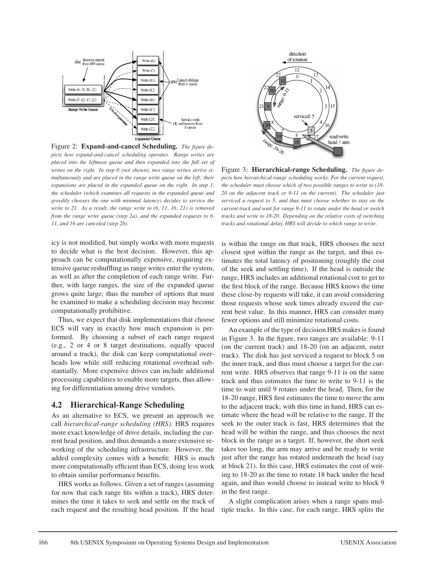

Figure 2: **Expand-and-cancel Scheduling.** *The figure depicts how expand-and-cancel scheduling operates. Range writes are placed into the leftmost queue and then expanded into the full set of writes on the right. In step 0 (not shown), two range writes arrive simultaneously and are placed in the range write queue on the left; their expansions are placed in the expanded queue on the right. In step 1, the scheduler (which examines all requests in the expanded queue and greedily chooses the one with minimal latency) decides to service the write to 21. As a result, the range write to (6, 11, 16, 21) is removed from the range write queue (step 2a), and the expanded requests to 6, 11, and 16 are canceled (step 2b).*

icy is not modified, but simply works with more requests to decide what is the best decision. However, this approach can be computationally expensive, requiring extensive queue reshuffling as range writes enter the system, as well as after the completion of each range write. Further, with large ranges, the size of the expanded queue grows quite large; thus the number of options that must be examined to make a scheduling decision may become computationally prohibitive.

Thus, we expect that disk implementations that choose ECS will vary in exactly how much expansion is performed. By choosing a subset of each range request (e.g., 2 or 4 or 8 target destinations, equally spaced around a track), the disk can keep computational overheads low while still reducing rotational overhead substantially. More expensive drives can include additional processing capabilities to enable more targets, thus allowing for differentiation among drive vendors.

## **4.2 Hierarchical-Range Scheduling**

As an alternative to ECS, we present an approach we call *hierarchical-range scheduling (HRS)*. HRS requires more exact knowledge of drive details, including the current head position, and thus demands a more extensive reworking of the scheduling infrastructure. However, the added complexity comes with a benefit: HRS is much more computationally efficient than ECS, doing less work to obtain similar performance benefits.

HRS works as follows. Given a set of ranges (assuming for now that each range fits within a track), HRS determines the time it takes to seek and settle on the track of each request and the resulting head position. If the head



Figure 3: **Hierarchical-range Scheduling.** *The figure depicts how hierarchical-range scheduling works. For the current request, the scheduler must choose which of two possible ranges to write to (18- 20 on the adjacent track or 9-11 on the current). The scheduler just serviced a request to 5, and thus must choose whether to stay on the current track and wait for range 9-11 to rotate under the head or switch tracks and write to 18-20. Depending on the relative costs of switching tracks and rotational delay, HRS will decide to which range to write.*

is within the range on that track, HRS chooses the next closest spot within the range as the target, and thus estimates the total latency of positioning (roughly the cost of the seek and settling time). If the head is outside the range, HRS includes an additional rotational cost to get to the first block of the range. Because HRS knows the time these close-by requests will take, it can avoid considering those requests whose seek times already exceed the current best value. In this manner, HRS can consider many fewer options and still minimize rotational costs.

An example of the type of decision HRS makes is found in Figure 3. In the figure, two ranges are available: 9-11 (on the current track) and 18-20 (on an adjacent, outer track). The disk has just serviced a request to block 5 on the inner track, and thus must choose a target for the current write. HRS observes that range 9-11 is on the same track and thus estimates the time to write to 9-11 is the time to wait until 9 rotates under the head. Then, for the 18-20 range, HRS first estimates the time to move the arm to the adjacent track; with this time in hand, HRS can estimate where the head will be relative to the range. If the seek to the outer track is fast, HRS determines that the head will be within the range, and thus chooses the next block in the range as a target. If, however, the short seek takes too long, the arm may arrive and be ready to write just after the range has rotated underneath the head (say at block 21). In this case, HRS estimates the cost of writing to 18-20 as the time to rotate 18 back under the head again, and thus would choose to instead write to block 9 in the first range.

A slight complication arises when a range spans multiple tracks. In this case, for each range, HRS splits the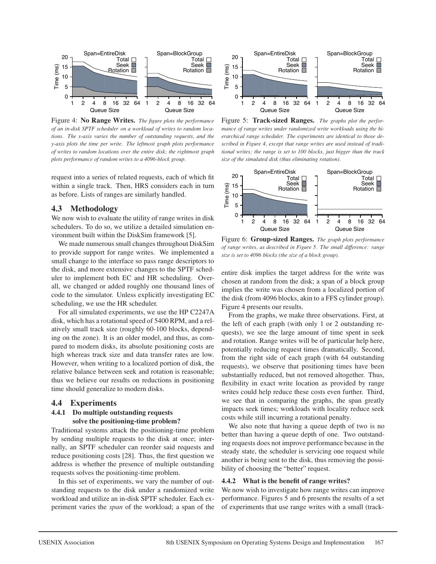

Figure 4: **No Range Writes.** *The figure plots the performance of an in-disk SPTF scheduler on a workload of writes to random locations. The x-axis varies the number of outstanding requests, and the y-axis plots the time per write. The leftmost graph plots performance of writes to random locations over the entire disk; the rightmost graph plots performance of random writes to a 4096-block group.*

request into a series of related requests, each of which fit within a single track. Then, HRS considers each in turn as before. Lists of ranges are similarly handled.

### **4.3 Methodology**

We now wish to evaluate the utility of range writes in disk schedulers. To do so, we utilize a detailed simulation environment built within the DiskSim framework [5].

We made numerous small changes throughout DiskSim to provide support for range writes. We implemented a small change to the interface so pass range descriptors to the disk, and more extensive changes to the SPTF scheduler to implement both EC and HR scheduling. Overall, we changed or added roughly one thousand lines of code to the simulator. Unless explicitly investigating EC scheduling, we use the HR scheduler.

For all simulated experiments, we use the HP C2247A disk, which has a rotational speed of 5400 RPM, and a relatively small track size (roughly 60-100 blocks, depending on the zone). It is an older model, and thus, as compared to modern disks, its absolute positioning costs are high whereas track size and data transfer rates are low. However, when writing to a localized portion of disk, the relative balance between seek and rotation is reasonable; thus we believe our results on reductions in positioning time should generalize to modern disks.

### **4.4 Experiments**

### **4.4.1 Do multiple outstanding requests solve the positioning-time problem?**

Traditional systems attack the positioning-time problem by sending multiple requests to the disk at once; internally, an SPTF scheduler can reorder said requests and reduce positioning costs [28]. Thus, the first question we address is whether the presence of multiple outstanding requests solves the positioning-time problem.

In this set of experiments, we vary the number of outstanding requests to the disk under a randomized write workload and utilize an in-disk SPTF scheduler. Each experiment varies the *span* of the workload; a span of the



Figure 5: **Track-sized Ranges.** *The graphs plot the performance of range writes under randomized write workloads using the hierarchical range scheduler. The experiments are identical to those described in Figure 4, except that range writes are used instead of traditional writes; the range is set to 100 blocks, just bigger than the track size of the simulated disk (thus eliminating rotation).*



Figure 6: **Group-sized Ranges.** *The graph plots performance of range writes, as described in Figure 5. The small difference: range size is set to 4096 blocks (the size of a block group).*

entire disk implies the target address for the write was chosen at random from the disk; a span of a block group implies the write was chosen from a localized portion of the disk (from 4096 blocks, akin to a FFS cylinder group). Figure 4 presents our results.

From the graphs, we make three observations. First, at the left of each graph (with only 1 or 2 outstanding requests), we see the large amount of time spent in seek and rotation. Range writes will be of particular help here, potentially reducing request times dramatically. Second, from the right side of each graph (with 64 outstanding requests), we observe that positioning times have been substantially reduced, but not removed altogether. Thus, flexibility in exact write location as provided by range writes could help reduce these costs even further. Third, we see that in comparing the graphs, the span greatly impacts seek times; workloads with locality reduce seek costs while still incurring a rotational penalty.

We also note that having a queue depth of two is no better than having a queue depth of one. Two outstanding requests does not improve performance because in the steady state, the scheduler is servicing one request while another is being sent to the disk, thus removing the possibility of choosing the "better" request.

### **4.4.2 What is the benefit of range writes?**

We now wish to investigate how range writes can improve performance. Figures 5 and 6 presents the results of a set of experiments that use range writes with a small (track-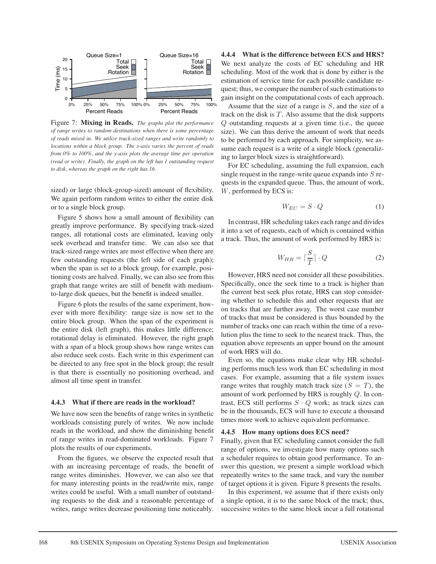

Figure 7: **Mixing in Reads.** *The graphs plot the performance of range writes to random destinations when there is some percentage of reads mixed in. We utilize track-sized ranges and write randomly to locations within a block group. The x-axis varies the percent of reads from 0% to 100%, and the y-axis plots the average time per operation (read or write). Finally, the graph on the left has 1 outstanding request to disk, whereas the graph on the right has 16.*

sized) or large (block-group-sized) amount of flexibility. We again perform random writes to either the entire disk or to a single block group.

Figure 5 shows how a small amount of flexibility can greatly improve performance. By specifying track-sized ranges, all rotational costs are eliminated, leaving only seek overhead and transfer time. We can also see that track-sized range writes are most effective when there are few outstanding requests (the left side of each graph); when the span is set to a block group, for example, positioning costs are halved. Finally, we can also see from this graph that range writes are still of benefit with mediumto-large disk queues, but the benefit is indeed smaller.

Figure 6 plots the results of the same experiment, however with more flexibility: range size is now set to the entire block group. When the span of the experiment is the entire disk (left graph), this makes little difference; rotational delay is eliminated. However, the right graph with a span of a block group shows how range writes can also reduce seek costs. Each write in this experiment can be directed to any free spot in the block group; the result is that there is essentially no positioning overhead, and almost all time spent in transfer.

#### **4.4.3 What if there are reads in the workload?**

We have now seen the benefits of range writes in synthetic workloads consisting purely of writes. We now include reads in the workload, and show the diminishing benefit of range writes in read-dominated workloads. Figure 7 plots the results of our experiments.

From the figures, we observe the expected result that with an increasing percentage of reads, the benefit of range writes diminishes. However, we can also see that for many interesting points in the read/write mix, range writes could be useful. With a small number of outstanding requests to the disk and a reasonable percentage of writes, range writes decrease positioning time noticeably.

**4.4.4 What is the difference between ECS and HRS?** We next analyze the costs of EC scheduling and HR scheduling. Most of the work that is done by either is the estimation of service time for each possible candidate request; thus, we compare the number of such estimations to gain insight on the computational costs of each approach.

Assume that the size of a range is  $S$ , and the size of a track on the disk is  $T$ . Also assume that the disk supports Q outstanding requests at a given time (i.e., the queue size). We can thus derive the amount of work that needs to be performed by each approach. For simplicity, we assume each request is a write of a single block (generalizing to larger block sizes is straightforward).

For EC scheduling, assuming the full expansion, each single request in the range-write queue expands into  $S$  requests in the expanded queue. Thus, the amount of work, W, performed by ECS is:

$$
W_{EC} = S \cdot Q \tag{1}
$$

In contrast, HR scheduling takes each range and divides it into a set of requests, each of which is contained within a track. Thus, the amount of work performed by HRS is:

$$
W_{HR} = \lceil \frac{S}{T} \rceil \cdot Q \tag{2}
$$

However, HRS need not consider all these possibilities. Specifically, once the seek time to a track is higher than the current best seek plus rotate, HRS can stop considering whether to schedule this and other requests that are on tracks that are further away. The worst case number of tracks that must be considered is thus bounded by the number of tracks one can reach within the time of a revolution plus the time to seek to the nearest track. Thus, the equation above represents an upper bound on the amount of work HRS will do.

Even so, the equations make clear why HR scheduling performs much less work than EC scheduling in most cases. For example, assuming that a file system issues range writes that roughly match track size  $(S = T)$ , the amount of work performed by HRS is roughly Q. In contrast, ECS still performs  $S \cdot Q$  work; as track sizes can be in the thousands, ECS will have to execute a thousand times more work to achieve equivalent performance.

#### **4.4.5 How many options does ECS need?**

Finally, given that EC scheduling cannot consider the full range of options, we investigate how many options such a scheduler requires to obtain good performance. To answer this question, we present a simple workload which repeatedly writes to the same track, and vary the number of target options it is given. Figure 8 presents the results.

In this experiment, we assume that if there exists only a single option, it is to the same block of the track; thus, successive writes to the same block incur a full rotational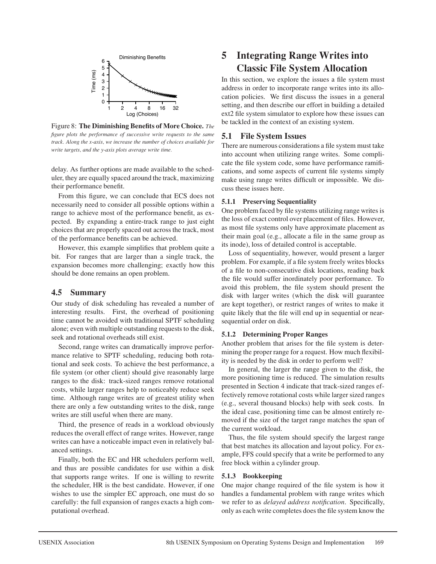

Figure 8: **The Diminishing Benefits of More Choice.** *The figure plots the performance of successive write requests to the same track. Along the x-axis, we increase the number of choices available for write targets, and the y-axis plots average write time.*

delay. As further options are made available to the scheduler, they are equally spaced around the track, maximizing their performance benefit.

From this figure, we can conclude that ECS does not necessarily need to consider all possible options within a range to achieve most of the performance benefit, as expected. By expanding a entire-track range to just eight choices that are properly spaced out across the track, most of the performance benefits can be achieved.

However, this example simplifies that problem quite a bit. For ranges that are larger than a single track, the expansion becomes more challenging; exactly how this should be done remains an open problem.

## **4.5 Summary**

Our study of disk scheduling has revealed a number of interesting results. First, the overhead of positioning time cannot be avoided with traditional SPTF scheduling alone; even with multiple outstanding requests to the disk, seek and rotational overheads still exist.

Second, range writes can dramatically improve performance relative to SPTF scheduling, reducing both rotational and seek costs. To achieve the best performance, a file system (or other client) should give reasonably large ranges to the disk: track-sized ranges remove rotational costs, while larger ranges help to noticeably reduce seek time. Although range writes are of greatest utility when there are only a few outstanding writes to the disk, range writes are still useful when there are many.

Third, the presence of reads in a workload obviously reduces the overall effect of range writes. However, range writes can have a noticeable impact even in relatively balanced settings.

Finally, both the EC and HR schedulers perform well, and thus are possible candidates for use within a disk that supports range writes. If one is willing to rewrite the scheduler, HR is the best candidate. However, if one wishes to use the simpler EC approach, one must do so carefully: the full expansion of ranges exacts a high computational overhead.

# **5 Integrating Range Writes into Classic File System Allocation**

In this section, we explore the issues a file system must address in order to incorporate range writes into its allocation policies. We first discuss the issues in a general setting, and then describe our effort in building a detailed ext2 file system simulator to explore how these issues can be tackled in the context of an existing system.

# **5.1 File System Issues**

There are numerous considerations a file system must take into account when utilizing range writes. Some complicate the file system code, some have performance ramifications, and some aspects of current file systems simply make using range writes difficult or impossible. We discuss these issues here.

## **5.1.1 Preserving Sequentiality**

One problem faced by file systems utilizing range writes is the loss of exact control over placement of files. However, as most file systems only have approximate placement as their main goal (e.g., allocate a file in the same group as its inode), loss of detailed control is acceptable.

Loss of sequentiality, however, would present a larger problem. For example, if a file system freely writes blocks of a file to non-consecutive disk locations, reading back the file would suffer inordinately poor performance. To avoid this problem, the file system should present the disk with larger writes (which the disk will guarantee are kept together), or restrict ranges of writes to make it quite likely that the file will end up in sequential or nearsequential order on disk.

## **5.1.2 Determining Proper Ranges**

Another problem that arises for the file system is determining the proper range for a request. How much flexibility is needed by the disk in order to perform well?

In general, the larger the range given to the disk, the more positioning time is reduced. The simulation results presented in Section 4 indicate that track-sized ranges effectively remove rotational costs while larger sized ranges (e.g., several thousand blocks) help with seek costs. In the ideal case, positioning time can be almost entirely removed if the size of the target range matches the span of the current workload.

Thus, the file system should specify the largest range that best matches its allocation and layout policy. For example, FFS could specify that a write be performed to any free block within a cylinder group.

## **5.1.3 Bookkeeping**

One major change required of the file system is how it handles a fundamental problem with range writes which we refer to as *delayed address notification*. Specifically, only as each write completes does the file system know the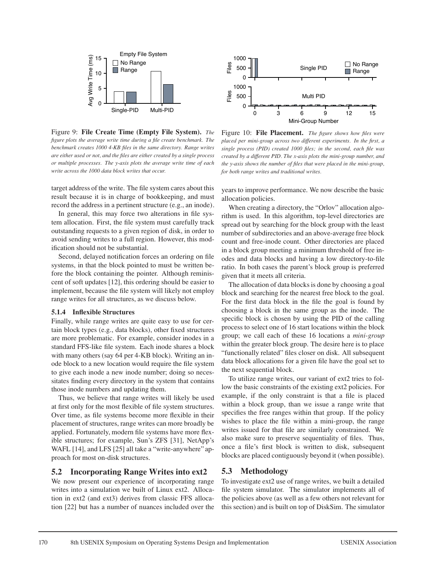

Figure 9: **File Create Time (Empty File System).** *The figure plots the average write time during a file create benchmark. The benchmark creates 1000 4-KB files in the same directory. Range writes are either used or not, and the files are either created by a single process or multiple processes. The y-axis plots the average write time of each write across the 1000 data block writes that occur.*

target address of the write. The file system cares about this result because it is in charge of bookkeeping, and must record the address in a pertinent structure (e.g., an inode).

In general, this may force two alterations in file system allocation. First, the file system must carefully track outstanding requests to a given region of disk, in order to avoid sending writes to a full region. However, this modification should not be substantial.

Second, delayed notification forces an ordering on file systems, in that the block pointed to must be written before the block containing the pointer. Although reminiscent of soft updates [12], this ordering should be easier to implement, because the file system will likely not employ range writes for all structures, as we discuss below.

### **5.1.4 Inflexible Structures**

Finally, while range writes are quite easy to use for certain block types (e.g., data blocks), other fixed structures are more problematic. For example, consider inodes in a standard FFS-like file system. Each inode shares a block with many others (say 64 per 4-KB block). Writing an inode block to a new location would require the file system to give each inode a new inode number; doing so necessitates finding every directory in the system that contains those inode numbers and updating them.

Thus, we believe that range writes will likely be used at first only for the most flexible of file system structures. Over time, as file systems become more flexible in their placement of structures, range writes can more broadly be applied. Fortunately, modern file systems have more flexible structures; for example, Sun's ZFS [31], NetApp's WAFL [14], and LFS [25] all take a "write-anywhere" approach for most on-disk structures.

### **5.2 Incorporating Range Writes into ext2**

We now present our experience of incorporating range writes into a simulation we built of Linux ext2. Allocation in ext2 (and ext3) derives from classic FFS allocation [22] but has a number of nuances included over the



Figure 10: **File Placement.** *The figure shows how files were placed per mini-group across two different experiments. In the first, a single process (PID) created 1000 files; in the second, each file was created by a different PID. The x-axis plots the mini-group number, and the y-axis shows the number of files that were placed in the mini-group, for both range writes and traditional writes.*

years to improve performance. We now describe the basic allocation policies.

When creating a directory, the "Orlov" allocation algorithm is used. In this algorithm, top-level directories are spread out by searching for the block group with the least number of subdirectories and an above-average free block count and free-inode count. Other directories are placed in a block group meeting a minimum threshold of free inodes and data blocks and having a low directory-to-file ratio. In both cases the parent's block group is preferred given that it meets all criteria.

The allocation of data blocks is done by choosing a goal block and searching for the nearest free block to the goal. For the first data block in the file the goal is found by choosing a block in the same group as the inode. The specific block is chosen by using the PID of the calling process to select one of 16 start locations within the block group; we call each of these 16 locations a *mini-group* within the greater block group. The desire here is to place "functionally related" files closer on disk. All subsequent data block allocations for a given file have the goal set to the next sequential block.

To utilize range writes, our variant of ext2 tries to follow the basic constraints of the existing ext2 policies. For example, if the only constraint is that a file is placed within a block group, than we issue a range write that specifies the free ranges within that group. If the policy wishes to place the file within a mini-group, the range writes issued for that file are similarly constrained. We also make sure to preserve sequentiality of files. Thus, once a file's first block is written to disk, subsequent blocks are placed contiguously beyond it (when possible).

### **5.3 Methodology**

To investigate ext2 use of range writes, we built a detailed file system simulator. The simulator implements all of the policies above (as well as a few others not relevant for this section) and is built on top of DiskSim. The simulator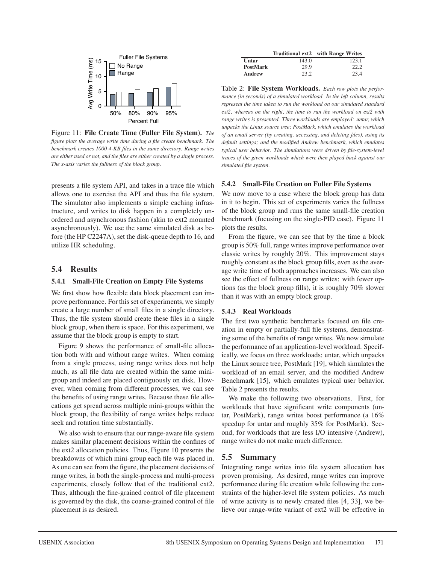

Figure 11: **File Create Time (Fuller File System).** *The figure plots the average write time during a file create benchmark. The benchmark creates 1000 4-KB files in the same directory. Range writes are either used or not, and the files are either created by a single process. The x-axis varies the fullness of the block group.*

presents a file system API, and takes in a trace file which allows one to exercise the API and thus the file system. The simulator also implements a simple caching infrastructure, and writes to disk happen in a completely unordered and asynchronous fashion (akin to ext2 mounted asynchronously). We use the same simulated disk as before (the HP C2247A), set the disk-queue depth to 16, and utilize HR scheduling.

## **5.4 Results**

### **5.4.1 Small-File Creation on Empty File Systems**

We first show how flexible data block placement can improve performance. For this set of experiments, we simply create a large number of small files in a single directory. Thus, the file system should create these files in a single block group, when there is space. For this experiment, we assume that the block group is empty to start.

Figure 9 shows the performance of small-file allocation both with and without range writes. When coming from a single process, using range writes does not help much, as all file data are created within the same minigroup and indeed are placed contiguously on disk. However, when coming from different processes, we can see the benefits of using range writes. Because these file allocations get spread across multiple mini-groups within the block group, the flexibility of range writes helps reduce seek and rotation time substantially.

We also wish to ensure that our range-aware file system makes similar placement decisions within the confines of the ext2 allocation policies. Thus, Figure 10 presents the breakdowns of which mini-group each file was placed in. As one can see from the figure, the placement decisions of range writes, in both the single-process and multi-process experiments, closely follow that of the traditional ext2. Thus, although the fine-grained control of file placement is governed by the disk, the coarse-grained control of file placement is as desired.

|          |       | Traditional ext2 with Range Writes |
|----------|-------|------------------------------------|
| Untar    | 143.0 | 123.1                              |
| PostMark | 29.9  | 22.2                               |
| Andrew   | 23.2  | 23.4                               |

Table 2: **File System Workloads.** *Each row plots the performance (in seconds) of a simulated workload. In the left column, results represent the time taken to run the workload on our simulated standard ext2, whereas on the right, the time to run the workload on ext2 with range writes is presented. Three workloads are employed: untar, which unpacks the Linux source tree; PostMark, which emulates the workload of an email server (by creating, accessing, and deleting files), using its default settings; and the modified Andrew benchmark, which emulates typical user behavior. The simulations were driven by file-system-level traces of the given workloads which were then played back against our simulated file system.*

### **5.4.2 Small-File Creation on Fuller File Systems**

We now move to a case where the block group has data in it to begin. This set of experiments varies the fullness of the block group and runs the same small-file creation benchmark (focusing on the single-PID case). Figure 11 plots the results.

From the figure, we can see that by the time a block group is 50% full, range writes improve performance over classic writes by roughly 20%. This improvement stays roughly constant as the block group fills, even as the average write time of both approaches increases. We can also see the effect of fullness on range writes: with fewer options (as the block group fills), it is roughly 70% slower than it was with an empty block group.

### **5.4.3 Real Workloads**

The first two synthetic benchmarks focused on file creation in empty or partially-full file systems, demonstrating some of the benefits of range writes. We now simulate the performance of an application-level workload. Specifically, we focus on three workloads: untar, which unpacks the Linux source tree, PostMark [19], which simulates the workload of an email server, and the modified Andrew Benchmark [15], which emulates typical user behavior. Table 2 presents the results.

We make the following two observations. First, for workloads that have significant write components (untar, PostMark), range writes boost performance (a 16% speedup for untar and roughly 35% for PostMark). Second, for workloads that are less I/O intensive (Andrew), range writes do not make much difference.

## **5.5 Summary**

Integrating range writes into file system allocation has proven promising. As desired, range writes can improve performance during file creation while following the constraints of the higher-level file system policies. As much of write activity is to newly created files [4, 33], we believe our range-write variant of ext2 will be effective in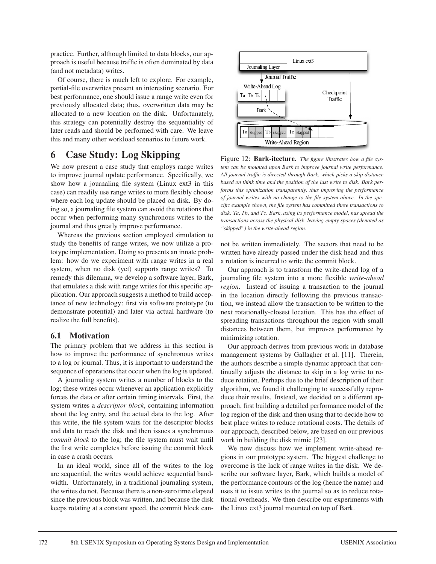practice. Further, although limited to data blocks, our approach is useful because traffic is often dominated by data (and not metadata) writes.

Of course, there is much left to explore. For example, partial-file overwrites present an interesting scenario. For best performance, one should issue a range write even for previously allocated data; thus, overwritten data may be allocated to a new location on the disk. Unfortunately, this strategy can potentially destroy the sequentiality of later reads and should be performed with care. We leave this and many other workload scenarios to future work.

# **6 Case Study: Log Skipping**

We now present a case study that employs range writes to improve journal update performance. Specifically, we show how a journaling file system (Linux ext3 in this case) can readily use range writes to more flexibly choose where each log update should be placed on disk. By doing so, a journaling file system can avoid the rotations that occur when performing many synchronous writes to the journal and thus greatly improve performance.

Whereas the previous section employed simulation to study the benefits of range writes, we now utilize a prototype implementation. Doing so presents an innate problem: how do we experiment with range writes in a real system, when no disk (yet) supports range writes? To remedy this dilemma, we develop a software layer, Bark, that emulates a disk with range writes for this specific application. Our approach suggests a method to build acceptance of new technology: first via software prototype (to demonstrate potential) and later via actual hardware (to realize the full benefits).

## **6.1 Motivation**

The primary problem that we address in this section is how to improve the performance of synchronous writes to a log or journal. Thus, it is important to understand the sequence of operations that occur when the log is updated.

A journaling system writes a number of blocks to the log; these writes occur whenever an application explicitly forces the data or after certain timing intervals. First, the system writes a *descriptor block*, containing information about the log entry, and the actual data to the log. After this write, the file system waits for the descriptor blocks and data to reach the disk and then issues a synchronous *commit block* to the log; the file system must wait until the first write completes before issuing the commit block in case a crash occurs.

In an ideal world, since all of the writes to the log are sequential, the writes would achieve sequential bandwidth. Unfortunately, in a traditional journaling system, the writes do not. Because there is a non-zero time elapsed since the previous block was written, and because the disk keeps rotating at a constant speed, the commit block can-



Figure 12: **Bark-itecture.** *The figure illustrates how a file system can be mounted upon Bark to improve journal write performance. All journal traffic is directed through Bark, which picks a skip distance based on think time and the position of the last write to disk. Bark performs this optimization transparently, thus improving the performance of journal writes with no change to the file system above. In the specific example shown, the file system has committed three transactions to disk: Ta, Tb, and Tc. Bark, using its performance model, has spread the transactions across the physical disk, leaving empty spaces (denoted as "skipped") in the write-ahead region.*

not be written immediately. The sectors that need to be written have already passed under the disk head and thus a rotation is incurred to write the commit block.

Our approach is to transform the write-ahead log of a journaling file system into a more flexible *write-ahead region*. Instead of issuing a transaction to the journal in the location directly following the previous transaction, we instead allow the transaction to be written to the next rotationally-closest location. This has the effect of spreading transactions throughout the region with small distances between them, but improves performance by minimizing rotation.

Our approach derives from previous work in database management systems by Gallagher et al. [11]. Therein, the authors describe a simple dynamic approach that continually adjusts the distance to skip in a log write to reduce rotation. Perhaps due to the brief description of their algorithm, we found it challenging to successfully reproduce their results. Instead, we decided on a different approach, first building a detailed performance model of the log region of the disk and then using that to decide how to best place writes to reduce rotational costs. The details of our approach, described below, are based on our previous work in building the disk mimic [23].

We now discuss how we implement write-ahead regions in our prototype system. The biggest challenge to overcome is the lack of range writes in the disk. We describe our software layer, Bark, which builds a model of the performance contours of the log (hence the name) and uses it to issue writes to the journal so as to reduce rotational overheads. We then describe our experiments with the Linux ext3 journal mounted on top of Bark.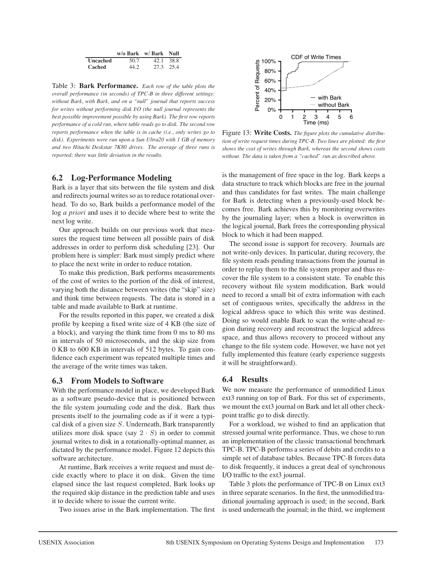|          | $w/o$ Bark $w/$ Bark Null |           |
|----------|---------------------------|-----------|
| Uncached | 50.7                      | 42.1 38.8 |
| Cached   | 44.2.                     | 27.3 25.4 |

Table 3: **Bark Performance.** *Each row of the table plots the overall performance (in seconds) of TPC-B in three different settings: without Bark, with Bark, and on a "null" journal that reports success for writes without performing disk I/O (the null journal represents the best possible improvement possible by using Bark). The first row reports performance of a cold run, where table reads go to disk. The second row reports performance when the table is in cache (i.e., only writes go to disk). Experiments were run upon a Sun Ultra20 with 1 GB of memory and two Hitachi Deskstar 7K80 drives. The average of three runs is reported; there was little deviation in the results.*

## **6.2 Log-Performance Modeling**

Bark is a layer that sits between the file system and disk and redirects journal writes so as to reduce rotational overhead. To do so, Bark builds a performance model of the log *a priori* and uses it to decide where best to write the next log write.

Our approach builds on our previous work that measures the request time between all possible pairs of disk addresses in order to perform disk scheduling [23]. Our problem here is simpler: Bark must simply predict where to place the next write in order to reduce rotation.

To make this prediction, Bark performs measurements of the cost of writes to the portion of the disk of interest, varying both the distance between writes (the "skip" size) and think time between requests. The data is stored in a table and made available to Bark at runtime.

For the results reported in this paper, we created a disk profile by keeping a fixed write size of 4 KB (the size of a block), and varying the think time from 0 ms to 80 ms in intervals of 50 microseconds, and the skip size from 0 KB to 600 KB in intervals of 512 bytes. To gain confidence each experiment was repeated multiple times and the average of the write times was taken.

## **6.3 From Models to Software**

With the performance model in place, we developed Bark as a software pseudo-device that is positioned between the file system journaling code and the disk. Bark thus presents itself to the journaling code as if it were a typical disk of a given size S. Underneath, Bark transparently utilizes more disk space (say  $2 \cdot S$ ) in order to commit journal writes to disk in a rotationally-optimal manner, as dictated by the performance model. Figure 12 depicts this software architecture.

At runtime, Bark receives a write request and must decide exactly where to place it on disk. Given the time elapsed since the last request completed, Bark looks up the required skip distance in the prediction table and uses it to decide where to issue the current write.

Two issues arise in the Bark implementation. The first



Figure 13: **Write Costs.** *The figure plots the cumulative distribution of write request times during TPC-B. Two lines are plotted: the first shows the cost of writes through Bark, whereas the second shows costs without. The data is taken from a "cached" run as described above.*

is the management of free space in the log. Bark keeps a data structure to track which blocks are free in the journal and thus candidates for fast writes. The main challenge for Bark is detecting when a previously-used block becomes free. Bark achieves this by monitoring overwrites by the journaling layer; when a block is overwritten in the logical journal, Bark frees the corresponding physical block to which it had been mapped.

The second issue is support for recovery. Journals are not write-only devices. In particular, during recovery, the file system reads pending transactions from the journal in order to replay them to the file system proper and thus recover the file system to a consistent state. To enable this recovery without file system modification, Bark would need to record a small bit of extra information with each set of contiguous writes, specifically the address in the logical address space to which this write was destined. Doing so would enable Bark to scan the write-ahead region during recovery and reconstruct the logical address space, and thus allows recovery to proceed without any change to the file system code. However, we have not yet fully implemented this feature (early experience suggests it will be straightforward).

## **6.4 Results**

We now measure the performance of unmodified Linux ext3 running on top of Bark. For this set of experiments, we mount the ext3 journal on Bark and let all other checkpoint traffic go to disk directly.

For a workload, we wished to find an application that stressed journal write performance. Thus, we chose to run an implementation of the classic transactional benchmark TPC-B. TPC-B performs a series of debits and credits to a simple set of database tables. Because TPC-B forces data to disk frequently, it induces a great deal of synchronous I/O traffic to the ext3 journal.

Table 3 plots the performance of TPC-B on Linux ext3 in three separate scenarios. In the first, the unmodified traditional journaling approach is used; in the second, Bark is used underneath the journal; in the third, we implement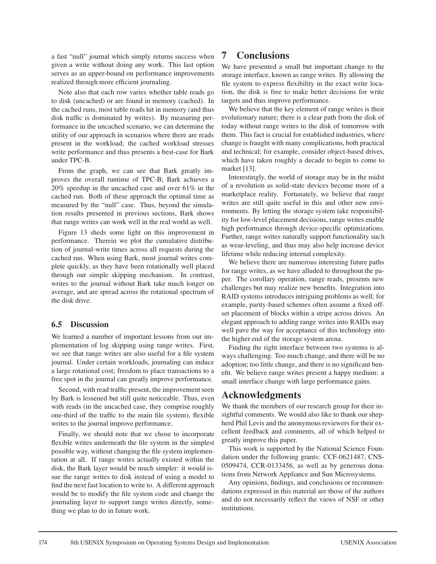a fast "null" journal which simply returns success when given a write without doing any work. This last option serves as an upper-bound on performance improvements realized through more efficient journaling.

Note also that each row varies whether table reads go to disk (uncached) or are found in memory (cached). In the cached runs, most table reads hit in memory (and thus disk traffic is dominated by writes). By measuring performance in the uncached scenario, we can determine the utility of our approach in scenarios where there are reads present in the workload; the cached workload stresses write performance and thus presents a best-case for Bark under TPC-B.

From the graph, we can see that Bark greatly improves the overall runtime of TPC-B; Bark achieves a 20% speedup in the uncached case and over 61% in the cached run. Both of these approach the optimal time as measured by the "null" case. Thus, beyond the simulation results presented in previous sections, Bark shows that range writes can work well in the real world as well.

Figure 13 sheds some light on this improvement in performance. Therein we plot the cumulative distribution of journal-write times across all requests during the cached run. When using Bark, most journal writes complete quickly, as they have been rotationally well placed through our simple skipping mechanism. In contrast, writes to the journal without Bark take much longer on average, and are spread across the rotational spectrum of the disk drive.

## **6.5 Discussion**

We learned a number of important lessons from our implementation of log skipping using range writes. First, we see that range writes are also useful for a file system journal. Under certain workloads, journaling can induce a large rotational cost; freedom to place transactions to a free spot in the journal can greatly improve performance.

Second, with read traffic present, the improvement seen by Bark is lessened but still quite noticeable. Thus, even with reads (in the uncached case, they comprise roughly one-third of the traffic to the main file system), flexible writes to the journal improve performance.

Finally, we should note that we chose to incorporate flexible writes underneath the file system in the simplest possible way, without changing the file system implementation at all. If range writes actually existed within the disk, the Bark layer would be much simpler: it would issue the range writes to disk instead of using a model to find the next fast location to write to. A different approach would be to modify the file system code and change the journaling layer to support range writes directly, something we plan to do in future work.

# **7 Conclusions**

We have presented a small but important change to the storage interface, known as range writes. By allowing the file system to express flexibility in the exact write location, the disk is free to make better decisions for write targets and thus improve performance.

We believe that the key element of range writes is their evolutionary nature; there is a clear path from the disk of today without range writes to the disk of tomorrow with them. This fact is crucial for established industries, where change is fraught with many complications, both practical and technical; for example, consider object-based drives, which have taken roughly a decade to begin to come to market [13].

Interestingly, the world of storage may be in the midst of a revolution as solid-state devices become more of a marketplace reality. Fortunately, we believe that range writes are still quite useful in this and other new environments. By letting the storage system take responsibility for low-level placement decisions, range writes enable high performance through device-specific optimizations. Further, range writes naturally support functionality such as wear-leveling, and thus may also help increase device lifetime while reducing internal complexity.

We believe there are numerous interesting future paths for range writes, as we have alluded to throughout the paper. The corollary operation, range reads, presents new challenges but may realize new benefits. Integration into RAID systems introduces intriguing problems as well; for example, parity-based schemes often assume a fixed offset placement of blocks within a stripe across drives. An elegant approach to adding range writes into RAIDs may well pave the way for acceptance of this technology into the higher end of the storage system arena.

Finding the right interface between two systems is always challenging. Too much change, and there will be no adoption; too little change, and there is no significant benefit. We believe range writes present a happy medium: a small interface change with large performance gains.

# **Acknowledgments**

We thank the members of our research group for their insightful comments. We would also like to thank our shepherd Phil Levis and the anonymous reviewers for their excellent feedback and comments, all of which helped to greatly improve this paper.

This work is supported by the National Science Foundation under the following grants: CCF-0621487, CNS-0509474, CCR-0133456, as well as by generous donations from Network Appliance and Sun Microsystems.

Any opinions, findings, and conclusions or recommendations expressed in this material are those of the authors and do not necessarily reflect the views of NSF or other institutions.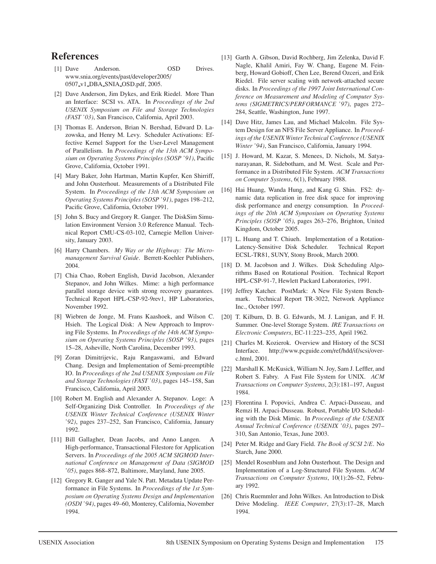# **References**

- [1] Dave Anderson. OSD Drives. www.snia.org/events/past/developer2005/ 0507 v1 DBA SNIA OSD.pdf, 2005.
- [2] Dave Anderson, Jim Dykes, and Erik Riedel. More Than an Interface: SCSI vs. ATA. In *Proceedings of the 2nd USENIX Symposium on File and Storage Technologies (FAST '03)*, San Francisco, California, April 2003.
- [3] Thomas E. Anderson, Brian N. Bershad, Edward D. Lazowska, and Henry M. Levy. Scheduler Activations: Effective Kernel Support for the User-Level Management of Parallelism. In *Proceedings of the 13th ACM Symposium on Operating Systems Principles (SOSP '91)*, Pacific Grove, California, October 1991.
- [4] Mary Baker, John Hartman, Martin Kupfer, Ken Shirriff, and John Ousterhout. Measurements of a Distributed File System. In *Proceedings of the 13th ACM Symposium on Operating Systems Principles (SOSP '91)*, pages 198–212, Pacific Grove, California, October 1991.
- [5] John S. Bucy and Gregory R. Ganger. The DiskSim Simulation Environment Version 3.0 Reference Manual. Technical Report CMU-CS-03-102, Carnegie Mellon University, January 2003.
- [6] Harry Chambers. *My Way or the Highway: The Micromanagement Survival Guide*. Berrett-Koehler Publishers, 2004.
- [7] Chia Chao, Robert English, David Jacobson, Alexander Stepanov, and John Wilkes. Mime: a high performance parallel storage device with strong recovery guarantees. Technical Report HPL-CSP-92-9rev1, HP Laboratories, November 1992.
- [8] Wiebren de Jonge, M. Frans Kaashoek, and Wilson C. Hsieh. The Logical Disk: A New Approach to Improving File Systems. In *Proceedings of the 14th ACM Symposium on Operating Systems Principles (SOSP '93)*, pages 15–28, Asheville, North Carolina, December 1993.
- [9] Zoran Dimitrijevic, Raju Rangaswami, and Edward Chang. Design and Implementation of Semi-preemptible IO. In *Proceedings of the 2nd USENIX Symposium on File and Storage Technologies (FAST '03)*, pages 145–158, San Francisco, California, April 2003.
- [10] Robert M. English and Alexander A. Stepanov. Loge: A Self-Organizing Disk Controller. In *Proceedings of the USENIX Winter Technical Conference (USENIX Winter '92)*, pages 237–252, San Francisco, California, January 1992.
- [11] Bill Gallagher, Dean Jacobs, and Anno Langen. A High-performance, Transactional Filestore for Application Servers. In *Proceedings of the 2005 ACM SIGMOD International Conference on Management of Data (SIGMOD '05)*, pages 868–872, Baltimore, Maryland, June 2005.
- [12] Gregory R. Ganger and Yale N. Patt. Metadata Update Performance in File Systems. In *Proceedings of the 1st Symposium on Operating Systems Design and Implementation (OSDI '94)*, pages 49–60, Monterey, California, November 1994.
- [13] Garth A. Gibson, David Rochberg, Jim Zelenka, David F. Nagle, Khalil Amiri, Fay W. Chang, Eugene M. Feinberg, Howard Gobioff, Chen Lee, Berend Ozceri, and Erik Riedel. File server scaling with network-attached secure disks. In *Proceedings of the 1997 Joint International Conference on Measurement and Modeling of Computer Systems (SIGMETRICS/PERFORMANCE '97)*, pages 272– 284, Seattle, Washington, June 1997.
- [14] Dave Hitz, James Lau, and Michael Malcolm. File System Design for an NFS File Server Appliance. In *Proceedings of the USENIX Winter Technical Conference (USENIX Winter '94)*, San Francisco, California, January 1994.
- [15] J. Howard, M. Kazar, S. Menees, D. Nichols, M. Satyanarayanan, R. Sidebotham, and M. West. Scale and Performance in a Distributed File System. *ACM Transactions on Computer Systems*, 6(1), February 1988.
- [16] Hai Huang, Wanda Hung, and Kang G. Shin. FS2: dynamic data replication in free disk space for improving disk performance and energy consumption. In *Proceedings of the 20th ACM Symposium on Operating Systems Principles (SOSP '05)*, pages 263–276, Brighton, United Kingdom, October 2005.
- [17] L. Huang and T. Chiueh. Implementation of a Rotation-Latency-Sensitive Disk Scheduler. Technical Report ECSL-TR81, SUNY, Stony Brook, March 2000.
- [18] D. M. Jacobson and J. Wilkes. Disk Scheduling Algorithms Based on Rotational Position. Technical Report HPL-CSP-91-7, Hewlett Packard Laboratories, 1991.
- [19] Jeffrey Katcher. PostMark: A New File System Benchmark. Technical Report TR-3022, Network Appliance Inc., October 1997.
- [20] T. Kilburn, D. B. G. Edwards, M. J. Lanigan, and F. H. Summer. One-level Storage System. *IRE Transactions on Electronic Computers*, EC-11:223–235, April 1962.
- [21] Charles M. Kozierok. Overview and History of the SCSI Interface. http://www.pcguide.com/ref/hdd/if/scsi/overc.html, 2001.
- [22] Marshall K. McKusick, William N. Joy, Sam J. Leffler, and Robert S. Fabry. A Fast File System for UNIX. *ACM Transactions on Computer Systems*, 2(3):181–197, August 1984.
- [23] Florentina I. Popovici, Andrea C. Arpaci-Dusseau, and Remzi H. Arpaci-Dusseau. Robust, Portable I/O Scheduling with the Disk Mimic. In *Proceedings of the USENIX Annual Technical Conference (USENIX '03)*, pages 297– 310, San Antonio, Texas, June 2003.
- [24] Peter M. Ridge and Gary Field. *The Book of SCSI 2/E*. No Starch, June 2000.
- [25] Mendel Rosenblum and John Ousterhout. The Design and Implementation of a Log-Structured File System. *ACM Transactions on Computer Systems*, 10(1):26–52, February 1992.
- [26] Chris Ruemmler and John Wilkes. An Introduction to Disk Drive Modeling. *IEEE Computer*, 27(3):17–28, March 1994.